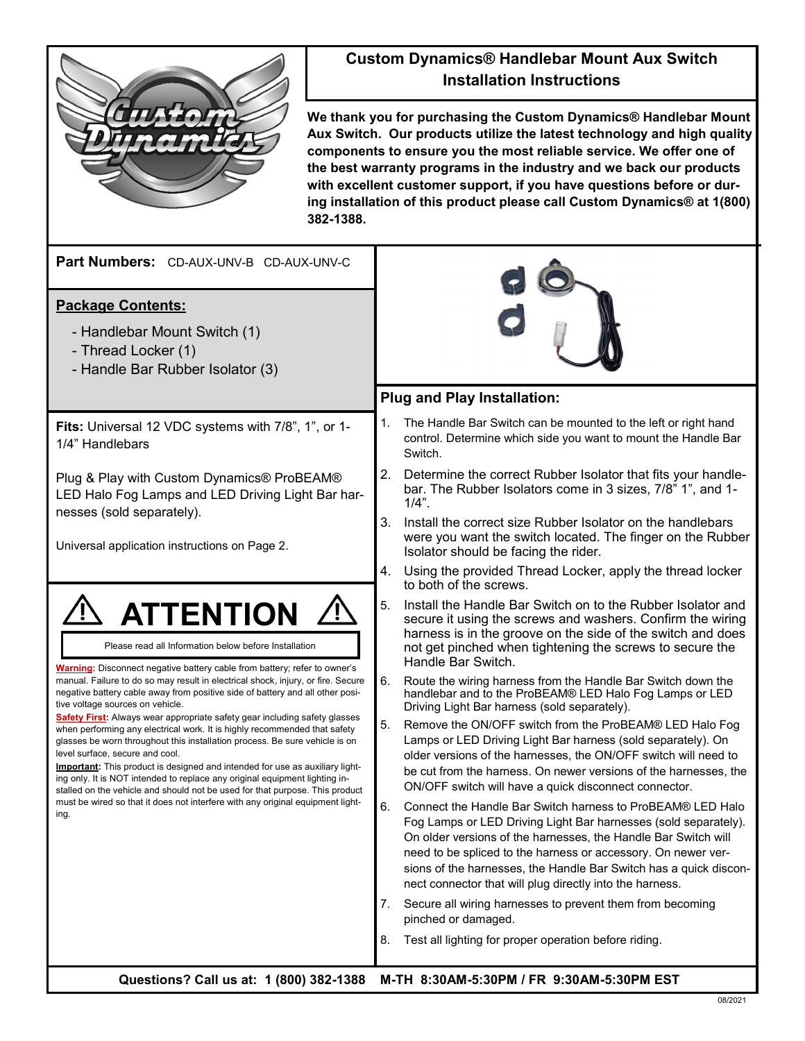

## **Custom Dynamics® Handlebar Mount Aux Switch Installation Instructions**

**We thank you for purchasing the Custom Dynamics® Handlebar Mount Aux Switch. Our products utilize the latest technology and high quality components to ensure you the most reliable service. We offer one of the best warranty programs in the industry and we back our products with excellent customer support, if you have questions before or during installation of this product please call Custom Dynamics® at 1(800) 382-1388.**

| Part Numbers: CD-AUX-UNV-B CD-AUX-UNV-C                                                                                                                                                                                                                                                                                                                                                                                                                                                                                                                                                                                          |                                                                                                                                                                                                                                                                                                                                                                                                         |  |
|----------------------------------------------------------------------------------------------------------------------------------------------------------------------------------------------------------------------------------------------------------------------------------------------------------------------------------------------------------------------------------------------------------------------------------------------------------------------------------------------------------------------------------------------------------------------------------------------------------------------------------|---------------------------------------------------------------------------------------------------------------------------------------------------------------------------------------------------------------------------------------------------------------------------------------------------------------------------------------------------------------------------------------------------------|--|
| <b>Package Contents:</b><br>- Handlebar Mount Switch (1)<br>- Thread Locker (1)<br>- Handle Bar Rubber Isolator (3)                                                                                                                                                                                                                                                                                                                                                                                                                                                                                                              |                                                                                                                                                                                                                                                                                                                                                                                                         |  |
|                                                                                                                                                                                                                                                                                                                                                                                                                                                                                                                                                                                                                                  | <b>Plug and Play Installation:</b>                                                                                                                                                                                                                                                                                                                                                                      |  |
| Fits: Universal 12 VDC systems with 7/8", 1", or 1-<br>1/4" Handlebars                                                                                                                                                                                                                                                                                                                                                                                                                                                                                                                                                           | 1.<br>The Handle Bar Switch can be mounted to the left or right hand<br>control. Determine which side you want to mount the Handle Bar<br>Switch.                                                                                                                                                                                                                                                       |  |
| Plug & Play with Custom Dynamics® ProBEAM®<br>LED Halo Fog Lamps and LED Driving Light Bar har-                                                                                                                                                                                                                                                                                                                                                                                                                                                                                                                                  | 2.<br>Determine the correct Rubber Isolator that fits your handle-<br>bar. The Rubber Isolators come in 3 sizes, 7/8 <sup>"</sup> 1", and 1-<br>$1/4$ ".                                                                                                                                                                                                                                                |  |
| nesses (sold separately).<br>Universal application instructions on Page 2.                                                                                                                                                                                                                                                                                                                                                                                                                                                                                                                                                       | 3.<br>Install the correct size Rubber Isolator on the handlebars<br>were you want the switch located. The finger on the Rubber<br>Isolator should be facing the rider.                                                                                                                                                                                                                                  |  |
|                                                                                                                                                                                                                                                                                                                                                                                                                                                                                                                                                                                                                                  | 4.<br>Using the provided Thread Locker, apply the thread locker<br>to both of the screws.                                                                                                                                                                                                                                                                                                               |  |
| <b>ATTENTION</b><br>Please read all Information below before Installation                                                                                                                                                                                                                                                                                                                                                                                                                                                                                                                                                        | 5.<br>Install the Handle Bar Switch on to the Rubber Isolator and<br>secure it using the screws and washers. Confirm the wiring<br>harness is in the groove on the side of the switch and does<br>not get pinched when tightening the screws to secure the<br>Handle Bar Switch.                                                                                                                        |  |
| <b>Warning:</b> Disconnect negative battery cable from battery; refer to owner's<br>manual. Failure to do so may result in electrical shock, injury, or fire. Secure<br>negative battery cable away from positive side of battery and all other posi-<br>tive voltage sources on vehicle.                                                                                                                                                                                                                                                                                                                                        | 6.<br>Route the wiring harness from the Handle Bar Switch down the<br>handlebar and to the ProBEAM® LED Halo Fog Lamps or LED<br>Driving Light Bar harness (sold separately).                                                                                                                                                                                                                           |  |
| <b>Safety First:</b> Always wear appropriate safety gear including safety glasses<br>when performing any electrical work. It is highly recommended that safety<br>glasses be worn throughout this installation process. Be sure vehicle is on<br>level surface, secure and cool.<br><b>Important:</b> This product is designed and intended for use as auxiliary light-<br>ing only. It is NOT intended to replace any original equipment lighting in-<br>stalled on the vehicle and should not be used for that purpose. This product<br>must be wired so that it does not interfere with any original equipment light-<br>ing. | 5.<br>Remove the ON/OFF switch from the ProBEAM® LED Halo Fog<br>Lamps or LED Driving Light Bar harness (sold separately). On<br>older versions of the harnesses, the ON/OFF switch will need to<br>be cut from the harness. On newer versions of the harnesses, the<br>ON/OFF switch will have a quick disconnect connector.                                                                           |  |
|                                                                                                                                                                                                                                                                                                                                                                                                                                                                                                                                                                                                                                  | 6.<br>Connect the Handle Bar Switch harness to ProBEAM® LED Halo<br>Fog Lamps or LED Driving Light Bar harnesses (sold separately).<br>On older versions of the harnesses, the Handle Bar Switch will<br>need to be spliced to the harness or accessory. On newer ver-<br>sions of the harnesses, the Handle Bar Switch has a quick discon-<br>nect connector that will plug directly into the harness. |  |
|                                                                                                                                                                                                                                                                                                                                                                                                                                                                                                                                                                                                                                  | Secure all wiring harnesses to prevent them from becoming<br>7.<br>pinched or damaged.                                                                                                                                                                                                                                                                                                                  |  |
|                                                                                                                                                                                                                                                                                                                                                                                                                                                                                                                                                                                                                                  | Test all lighting for proper operation before riding.<br>8.                                                                                                                                                                                                                                                                                                                                             |  |
|                                                                                                                                                                                                                                                                                                                                                                                                                                                                                                                                                                                                                                  | $Q$ usationa $2$ Call us at: 4 (800) 282 4288 - M TH 8.20AM E-20DM (ED 0.20AM E-20DM ECT                                                                                                                                                                                                                                                                                                                |  |

**Questions? Call us at: 1 (800) 382-1388 M-TH 8:30AM-5:30PM / FR 9:30AM-5:30PM EST**